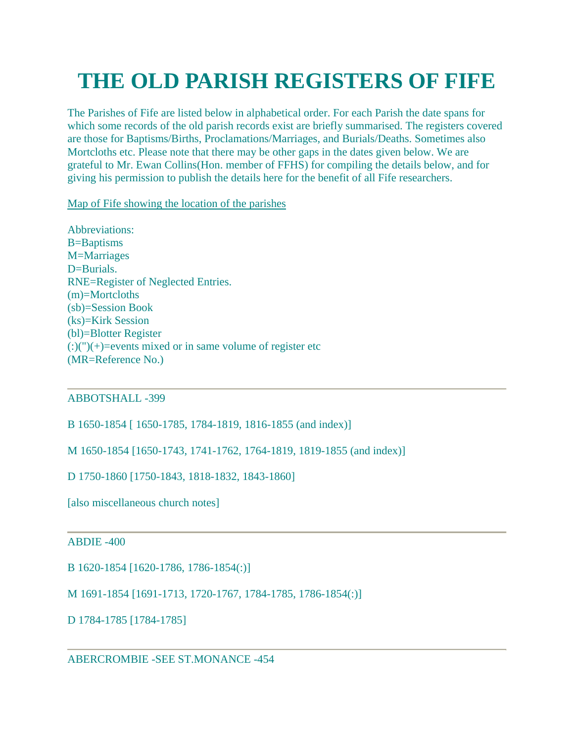# **THE OLD PARISH REGISTERS OF FIFE**

The Parishes of Fife are listed below in alphabetical order. For each Parish the date spans for which some records of the old parish records exist are briefly summarised. The registers covered are those for Baptisms/Births, Proclamations/Marriages, and Burials/Deaths. Sometimes also Mortcloths etc. Please note that there may be other gaps in the dates given below. We are grateful to Mr. Ewan Collins(Hon. member of FFHS) for compiling the details below, and for giving his permission to publish the details here for the benefit of all Fife researchers.

[Map of Fife showing the location of the parishes](http://fifefhs.org/Maps/parishmap.htm)

Abbreviations: B=Baptisms M=Marriages D=Burials. RNE=Register of Neglected Entries. (m)=Mortcloths (sb)=Session Book (ks)=Kirk Session (bl)=Blotter Register  $(:)(")(+)=$ events mixed or in same volume of register etc (MR=Reference No.)

## ABBOTSHALL -399

B 1650-1854 [ 1650-1785, 1784-1819, 1816-1855 (and index)]

M 1650-1854 [1650-1743, 1741-1762, 1764-1819, 1819-1855 (and index)]

D 1750-1860 [1750-1843, 1818-1832, 1843-1860]

[also miscellaneous church notes]

## ABDIE -400

B 1620-1854 [1620-1786, 1786-1854(:)]

M 1691-1854 [1691-1713, 1720-1767, 1784-1785, 1786-1854(:)]

D 1784-1785 [1784-1785]

ABERCROMBIE -SEE ST.MONANCE -454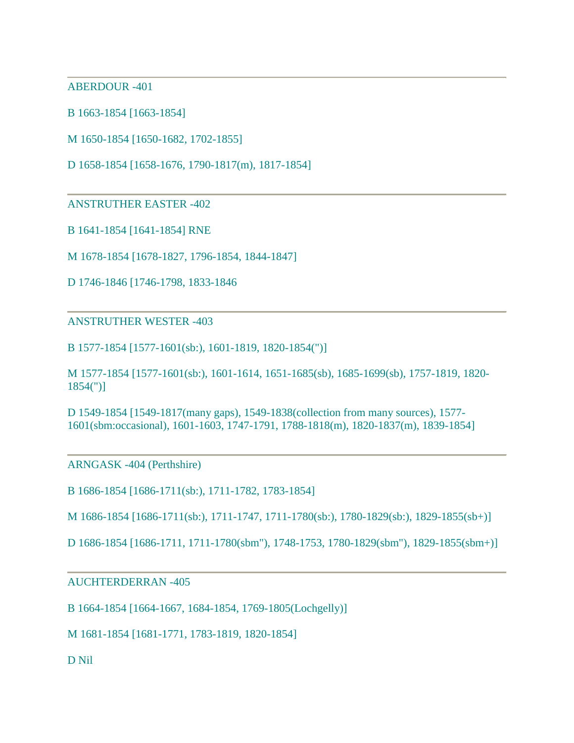ABERDOUR -401

B 1663-1854 [1663-1854]

M 1650-1854 [1650-1682, 1702-1855]

D 1658-1854 [1658-1676, 1790-1817(m), 1817-1854]

ANSTRUTHER EASTER -402

B 1641-1854 [1641-1854] RNE

M 1678-1854 [1678-1827, 1796-1854, 1844-1847]

D 1746-1846 [1746-1798, 1833-1846

ANSTRUTHER WESTER -403

B 1577-1854 [1577-1601(sb:), 1601-1819, 1820-1854(")]

M 1577-1854 [1577-1601(sb:), 1601-1614, 1651-1685(sb), 1685-1699(sb), 1757-1819, 1820- 1854(")]

D 1549-1854 [1549-1817(many gaps), 1549-1838(collection from many sources), 1577- 1601(sbm:occasional), 1601-1603, 1747-1791, 1788-1818(m), 1820-1837(m), 1839-1854]

ARNGASK -404 (Perthshire)

B 1686-1854 [1686-1711(sb:), 1711-1782, 1783-1854]

M 1686-1854 [1686-1711(sb:), 1711-1747, 1711-1780(sb:), 1780-1829(sb:), 1829-1855(sb+)]

D 1686-1854 [1686-1711, 1711-1780(sbm"), 1748-1753, 1780-1829(sbm"), 1829-1855(sbm+)]

#### AUCHTERDERRAN -405

B 1664-1854 [1664-1667, 1684-1854, 1769-1805(Lochgelly)]

M 1681-1854 [1681-1771, 1783-1819, 1820-1854]

D Nil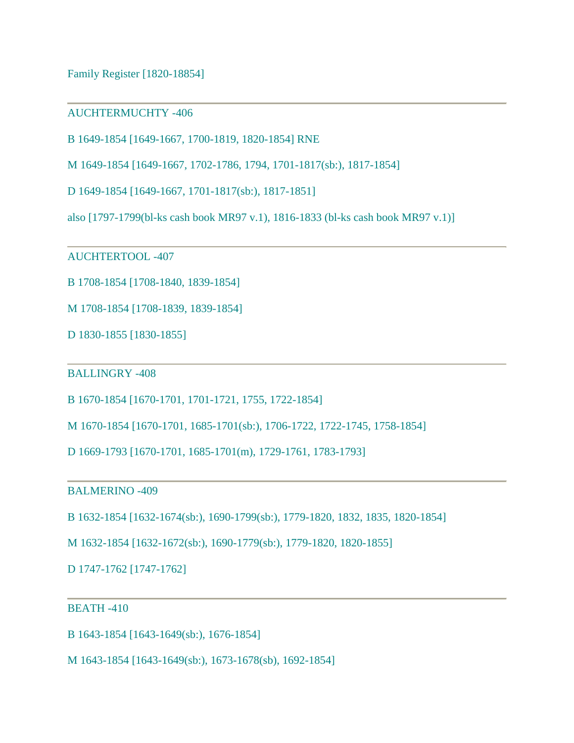Family Register [1820-18854]

## AUCHTERMUCHTY -406

B 1649-1854 [1649-1667, 1700-1819, 1820-1854] RNE

M 1649-1854 [1649-1667, 1702-1786, 1794, 1701-1817(sb:), 1817-1854]

D 1649-1854 [1649-1667, 1701-1817(sb:), 1817-1851]

also [1797-1799(bl-ks cash book MR97 v.1), 1816-1833 (bl-ks cash book MR97 v.1)]

AUCHTERTOOL -407

B 1708-1854 [1708-1840, 1839-1854]

M 1708-1854 [1708-1839, 1839-1854]

D 1830-1855 [1830-1855]

#### BALLINGRY -408

B 1670-1854 [1670-1701, 1701-1721, 1755, 1722-1854]

M 1670-1854 [1670-1701, 1685-1701(sb:), 1706-1722, 1722-1745, 1758-1854]

D 1669-1793 [1670-1701, 1685-1701(m), 1729-1761, 1783-1793]

BALMERINO -409

B 1632-1854 [1632-1674(sb:), 1690-1799(sb:), 1779-1820, 1832, 1835, 1820-1854]

M 1632-1854 [1632-1672(sb:), 1690-1779(sb:), 1779-1820, 1820-1855]

D 1747-1762 [1747-1762]

## BEATH -410

B 1643-1854 [1643-1649(sb:), 1676-1854]

M 1643-1854 [1643-1649(sb:), 1673-1678(sb), 1692-1854]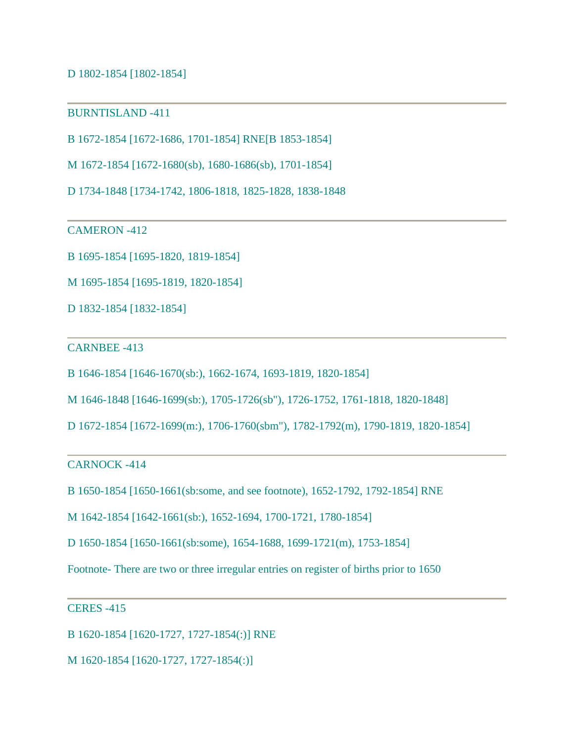D 1802-1854 [1802-1854]

BURNTISLAND -411

B 1672-1854 [1672-1686, 1701-1854] RNE[B 1853-1854]

M 1672-1854 [1672-1680(sb), 1680-1686(sb), 1701-1854]

D 1734-1848 [1734-1742, 1806-1818, 1825-1828, 1838-1848

CAMERON -412

B 1695-1854 [1695-1820, 1819-1854]

M 1695-1854 [1695-1819, 1820-1854]

D 1832-1854 [1832-1854]

#### CARNBEE -413

B 1646-1854 [1646-1670(sb:), 1662-1674, 1693-1819, 1820-1854]

M 1646-1848 [1646-1699(sb:), 1705-1726(sb"), 1726-1752, 1761-1818, 1820-1848]

D 1672-1854 [1672-1699(m:), 1706-1760(sbm"), 1782-1792(m), 1790-1819, 1820-1854]

CARNOCK -414

B 1650-1854 [1650-1661(sb:some, and see footnote), 1652-1792, 1792-1854] RNE

M 1642-1854 [1642-1661(sb:), 1652-1694, 1700-1721, 1780-1854]

D 1650-1854 [1650-1661(sb:some), 1654-1688, 1699-1721(m), 1753-1854]

Footnote- There are two or three irregular entries on register of births prior to 1650

## CERES -415

B 1620-1854 [1620-1727, 1727-1854(:)] RNE

M 1620-1854 [1620-1727, 1727-1854(:)]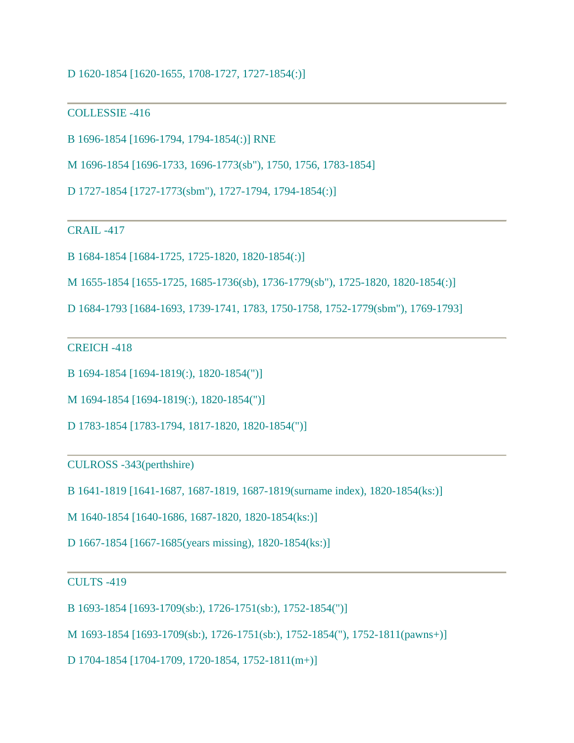## D 1620-1854 [1620-1655, 1708-1727, 1727-1854(:)]

#### COLLESSIE -416

```
B 1696-1854 [1696-1794, 1794-1854(:)] RNE
```
M 1696-1854 [1696-1733, 1696-1773(sb"), 1750, 1756, 1783-1854]

D 1727-1854 [1727-1773(sbm"), 1727-1794, 1794-1854(:)]

CRAIL -417

B 1684-1854 [1684-1725, 1725-1820, 1820-1854(:)]

M 1655-1854 [1655-1725, 1685-1736(sb), 1736-1779(sb"), 1725-1820, 1820-1854(:)]

D 1684-1793 [1684-1693, 1739-1741, 1783, 1750-1758, 1752-1779(sbm"), 1769-1793]

CREICH -418

B 1694-1854 [1694-1819(:), 1820-1854(")]

M 1694-1854 [1694-1819(:), 1820-1854(")]

D 1783-1854 [1783-1794, 1817-1820, 1820-1854(")]

CULROSS -343(perthshire)

B 1641-1819 [1641-1687, 1687-1819, 1687-1819(surname index), 1820-1854(ks:)]

M 1640-1854 [1640-1686, 1687-1820, 1820-1854(ks:)]

D 1667-1854 [1667-1685(years missing), 1820-1854(ks:)]

#### CULTS -419

B 1693-1854 [1693-1709(sb:), 1726-1751(sb:), 1752-1854(")]

M 1693-1854 [1693-1709(sb:), 1726-1751(sb:), 1752-1854("), 1752-1811(pawns+)]

D 1704-1854 [1704-1709, 1720-1854, 1752-1811(m+)]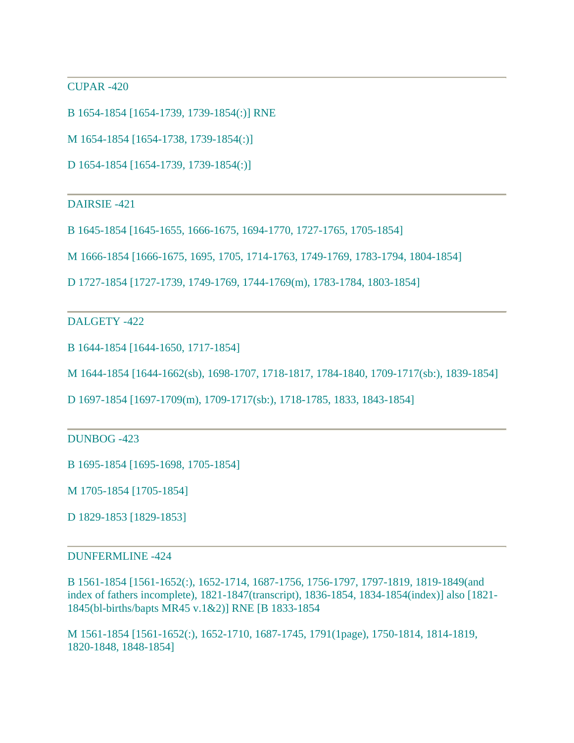CUPAR -420

B 1654-1854 [1654-1739, 1739-1854(:)] RNE

M 1654-1854 [1654-1738, 1739-1854(:)]

D 1654-1854 [1654-1739, 1739-1854(:)]

DAIRSIE -421

B 1645-1854 [1645-1655, 1666-1675, 1694-1770, 1727-1765, 1705-1854]

M 1666-1854 [1666-1675, 1695, 1705, 1714-1763, 1749-1769, 1783-1794, 1804-1854]

D 1727-1854 [1727-1739, 1749-1769, 1744-1769(m), 1783-1784, 1803-1854]

DALGETY -422

B 1644-1854 [1644-1650, 1717-1854]

M 1644-1854 [1644-1662(sb), 1698-1707, 1718-1817, 1784-1840, 1709-1717(sb:), 1839-1854]

D 1697-1854 [1697-1709(m), 1709-1717(sb:), 1718-1785, 1833, 1843-1854]

DUNBOG -423

B 1695-1854 [1695-1698, 1705-1854]

M 1705-1854 [1705-1854]

D 1829-1853 [1829-1853]

#### DUNFERMLINE -424

B 1561-1854 [1561-1652(:), 1652-1714, 1687-1756, 1756-1797, 1797-1819, 1819-1849(and index of fathers incomplete), 1821-1847(transcript), 1836-1854, 1834-1854(index)] also [1821- 1845(bl-births/bapts MR45 v.1&2)] RNE [B 1833-1854

M 1561-1854 [1561-1652(:), 1652-1710, 1687-1745, 1791(1page), 1750-1814, 1814-1819, 1820-1848, 1848-1854]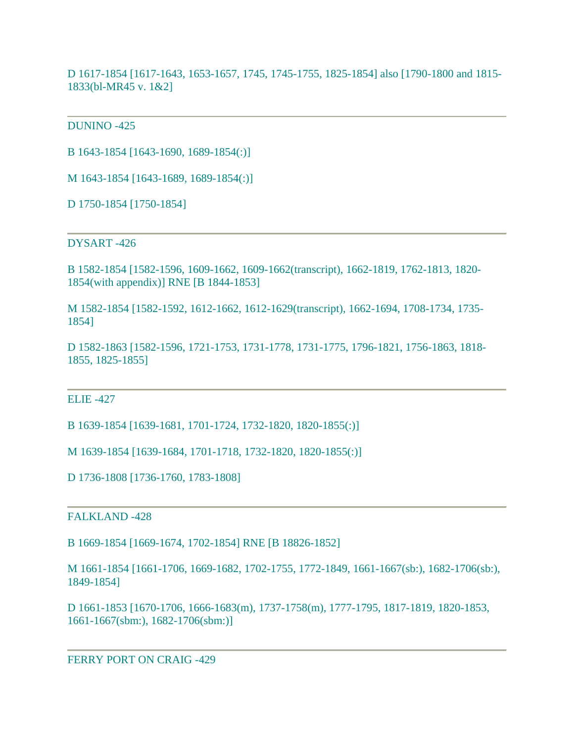D 1617-1854 [1617-1643, 1653-1657, 1745, 1745-1755, 1825-1854] also [1790-1800 and 1815- 1833(bl-MR45 v. 1&2]

### DUNINO -425

B 1643-1854 [1643-1690, 1689-1854(:)]

M 1643-1854 [1643-1689, 1689-1854(:)]

D 1750-1854 [1750-1854]

#### DYSART -426

B 1582-1854 [1582-1596, 1609-1662, 1609-1662(transcript), 1662-1819, 1762-1813, 1820- 1854(with appendix)] RNE [B 1844-1853]

M 1582-1854 [1582-1592, 1612-1662, 1612-1629(transcript), 1662-1694, 1708-1734, 1735- 1854]

D 1582-1863 [1582-1596, 1721-1753, 1731-1778, 1731-1775, 1796-1821, 1756-1863, 1818- 1855, 1825-1855]

#### ELIE -427

B 1639-1854 [1639-1681, 1701-1724, 1732-1820, 1820-1855(:)]

M 1639-1854 [1639-1684, 1701-1718, 1732-1820, 1820-1855(:)]

D 1736-1808 [1736-1760, 1783-1808]

## FALKLAND -428

B 1669-1854 [1669-1674, 1702-1854] RNE [B 18826-1852]

M 1661-1854 [1661-1706, 1669-1682, 1702-1755, 1772-1849, 1661-1667(sb:), 1682-1706(sb:), 1849-1854]

D 1661-1853 [1670-1706, 1666-1683(m), 1737-1758(m), 1777-1795, 1817-1819, 1820-1853, 1661-1667(sbm:), 1682-1706(sbm:)]

#### FERRY PORT ON CRAIG -429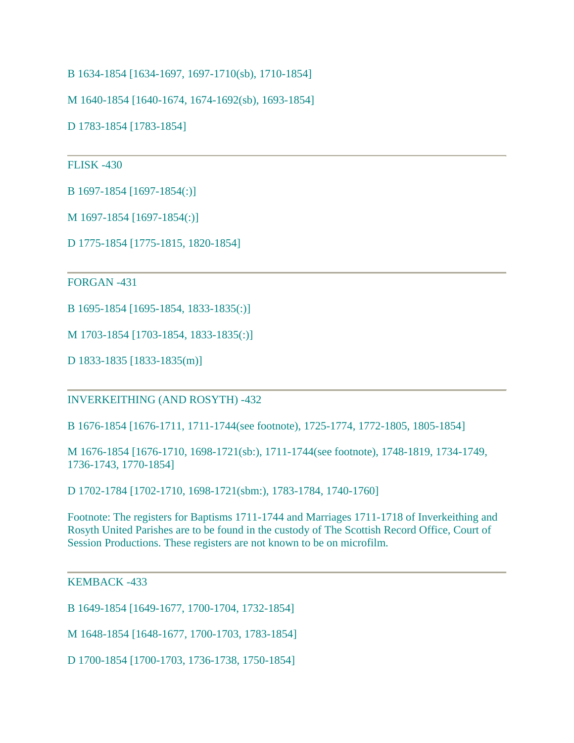B 1634-1854 [1634-1697, 1697-1710(sb), 1710-1854]

M 1640-1854 [1640-1674, 1674-1692(sb), 1693-1854]

D 1783-1854 [1783-1854]

## FLISK -430

B 1697-1854 [1697-1854(:)]

M 1697-1854 [1697-1854(:)]

D 1775-1854 [1775-1815, 1820-1854]

FORGAN -431

B 1695-1854 [1695-1854, 1833-1835(:)]

M 1703-1854 [1703-1854, 1833-1835(:)]

D 1833-1835 [1833-1835(m)]

INVERKEITHING (AND ROSYTH) -432

B 1676-1854 [1676-1711, 1711-1744(see footnote), 1725-1774, 1772-1805, 1805-1854]

M 1676-1854 [1676-1710, 1698-1721(sb:), 1711-1744(see footnote), 1748-1819, 1734-1749, 1736-1743, 1770-1854]

D 1702-1784 [1702-1710, 1698-1721(sbm:), 1783-1784, 1740-1760]

Footnote: The registers for Baptisms 1711-1744 and Marriages 1711-1718 of Inverkeithing and Rosyth United Parishes are to be found in the custody of The Scottish Record Office, Court of Session Productions. These registers are not known to be on microfilm.

#### KEMBACK -433

B 1649-1854 [1649-1677, 1700-1704, 1732-1854]

M 1648-1854 [1648-1677, 1700-1703, 1783-1854]

D 1700-1854 [1700-1703, 1736-1738, 1750-1854]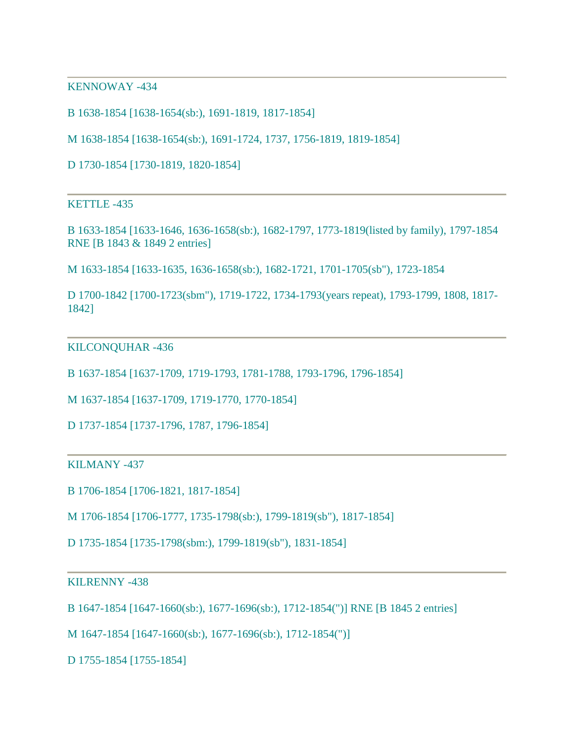KENNOWAY -434

B 1638-1854 [1638-1654(sb:), 1691-1819, 1817-1854]

M 1638-1854 [1638-1654(sb:), 1691-1724, 1737, 1756-1819, 1819-1854]

D 1730-1854 [1730-1819, 1820-1854]

KETTLE -435

B 1633-1854 [1633-1646, 1636-1658(sb:), 1682-1797, 1773-1819(listed by family), 1797-1854 RNE [B 1843 & 1849 2 entries]

M 1633-1854 [1633-1635, 1636-1658(sb:), 1682-1721, 1701-1705(sb"), 1723-1854

D 1700-1842 [1700-1723(sbm"), 1719-1722, 1734-1793(years repeat), 1793-1799, 1808, 1817- 1842]

#### KILCONQUHAR -436

B 1637-1854 [1637-1709, 1719-1793, 1781-1788, 1793-1796, 1796-1854]

M 1637-1854 [1637-1709, 1719-1770, 1770-1854]

D 1737-1854 [1737-1796, 1787, 1796-1854]

#### KILMANY -437

B 1706-1854 [1706-1821, 1817-1854]

M 1706-1854 [1706-1777, 1735-1798(sb:), 1799-1819(sb"), 1817-1854]

D 1735-1854 [1735-1798(sbm:), 1799-1819(sb"), 1831-1854]

#### KILRENNY -438

B 1647-1854 [1647-1660(sb:), 1677-1696(sb:), 1712-1854(")] RNE [B 1845 2 entries]

M 1647-1854 [1647-1660(sb:), 1677-1696(sb:), 1712-1854(")]

D 1755-1854 [1755-1854]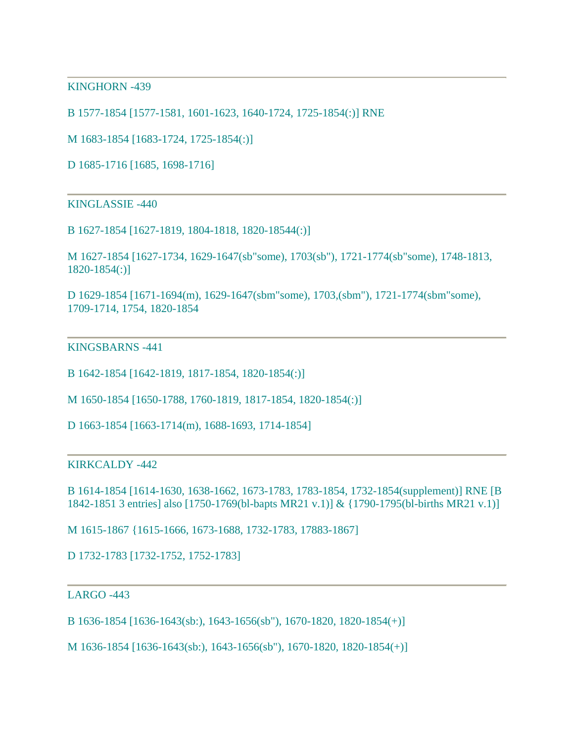KINGHORN -439

B 1577-1854 [1577-1581, 1601-1623, 1640-1724, 1725-1854(:)] RNE

M 1683-1854 [1683-1724, 1725-1854(:)]

D 1685-1716 [1685, 1698-1716]

KINGLASSIE -440

B 1627-1854 [1627-1819, 1804-1818, 1820-18544(:)]

M 1627-1854 [1627-1734, 1629-1647(sb"some), 1703(sb"), 1721-1774(sb"some), 1748-1813, 1820-1854(:)]

D 1629-1854 [1671-1694(m), 1629-1647(sbm"some), 1703,(sbm"), 1721-1774(sbm"some), 1709-1714, 1754, 1820-1854

#### KINGSBARNS -441

B 1642-1854 [1642-1819, 1817-1854, 1820-1854(:)]

M 1650-1854 [1650-1788, 1760-1819, 1817-1854, 1820-1854(:)]

D 1663-1854 [1663-1714(m), 1688-1693, 1714-1854]

#### KIRKCALDY -442

B 1614-1854 [1614-1630, 1638-1662, 1673-1783, 1783-1854, 1732-1854(supplement)] RNE [B 1842-1851 3 entries] also [1750-1769(bl-bapts MR21 v.1)] & {1790-1795(bl-births MR21 v.1)]

M 1615-1867 {1615-1666, 1673-1688, 1732-1783, 17883-1867]

D 1732-1783 [1732-1752, 1752-1783]

### $LARGO -443$

B 1636-1854 [1636-1643(sb:), 1643-1656(sb"), 1670-1820, 1820-1854(+)]

M 1636-1854 [1636-1643(sb:), 1643-1656(sb"), 1670-1820, 1820-1854(+)]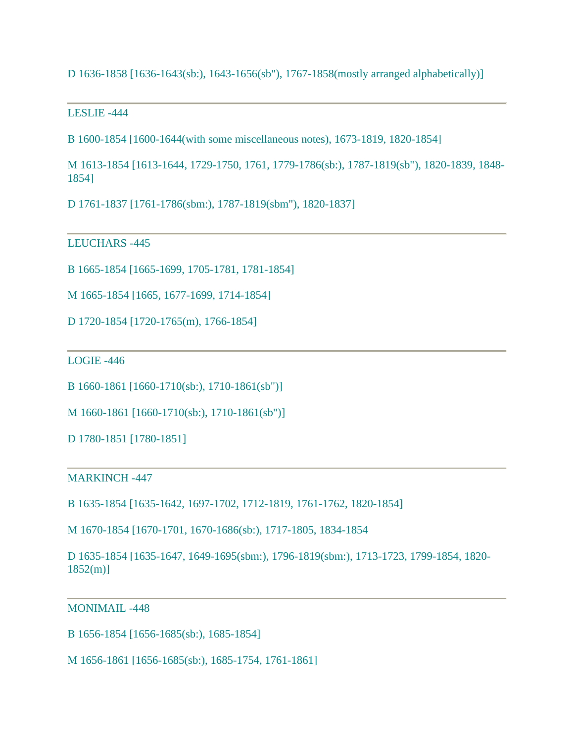D 1636-1858 [1636-1643(sb:), 1643-1656(sb"), 1767-1858(mostly arranged alphabetically)]

LESLIE -444

B 1600-1854 [1600-1644(with some miscellaneous notes), 1673-1819, 1820-1854]

M 1613-1854 [1613-1644, 1729-1750, 1761, 1779-1786(sb:), 1787-1819(sb"), 1820-1839, 1848- 1854]

D 1761-1837 [1761-1786(sbm:), 1787-1819(sbm"), 1820-1837]

LEUCHARS -445

B 1665-1854 [1665-1699, 1705-1781, 1781-1854]

M 1665-1854 [1665, 1677-1699, 1714-1854]

D 1720-1854 [1720-1765(m), 1766-1854]

LOGIE -446

B 1660-1861 [1660-1710(sb:), 1710-1861(sb")]

M 1660-1861 [1660-1710(sb:), 1710-1861(sb")]

D 1780-1851 [1780-1851]

MARKINCH -447

B 1635-1854 [1635-1642, 1697-1702, 1712-1819, 1761-1762, 1820-1854]

M 1670-1854 [1670-1701, 1670-1686(sb:), 1717-1805, 1834-1854

D 1635-1854 [1635-1647, 1649-1695(sbm:), 1796-1819(sbm:), 1713-1723, 1799-1854, 1820- 1852(m)]

MONIMAIL -448

B 1656-1854 [1656-1685(sb:), 1685-1854]

M 1656-1861 [1656-1685(sb:), 1685-1754, 1761-1861]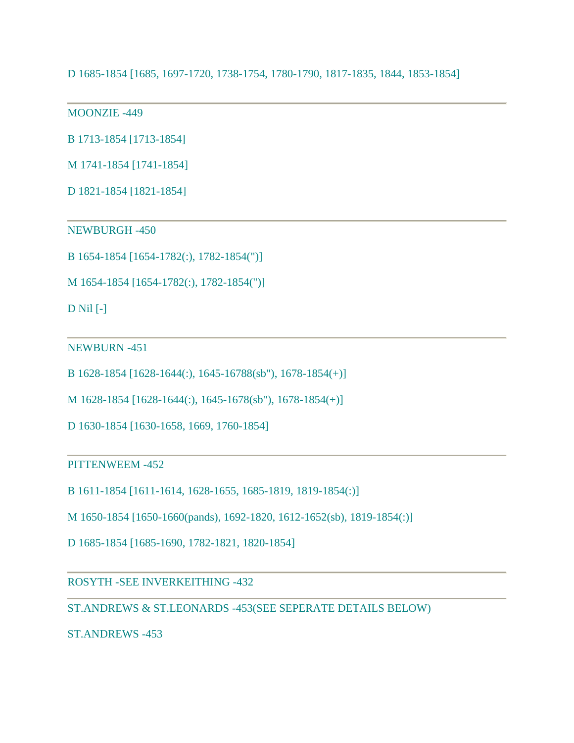D 1685-1854 [1685, 1697-1720, 1738-1754, 1780-1790, 1817-1835, 1844, 1853-1854]

MOONZIE -449

B 1713-1854 [1713-1854]

M 1741-1854 [1741-1854]

D 1821-1854 [1821-1854]

NEWBURGH -450

B 1654-1854 [1654-1782(:), 1782-1854(")]

M 1654-1854 [1654-1782(:), 1782-1854(")]

D Nil [-]

NEWBURN -451

B 1628-1854 [1628-1644(:), 1645-16788(sb"), 1678-1854(+)]

M 1628-1854 [1628-1644(:), 1645-1678(sb"), 1678-1854(+)]

D 1630-1854 [1630-1658, 1669, 1760-1854]

PITTENWEEM -452

B 1611-1854 [1611-1614, 1628-1655, 1685-1819, 1819-1854(:)]

M 1650-1854 [1650-1660(pands), 1692-1820, 1612-1652(sb), 1819-1854(:)]

D 1685-1854 [1685-1690, 1782-1821, 1820-1854]

ROSYTH -SEE INVERKEITHING -432

ST.ANDREWS & ST.LEONARDS -453(SEE SEPERATE DETAILS BELOW)

ST.ANDREWS -453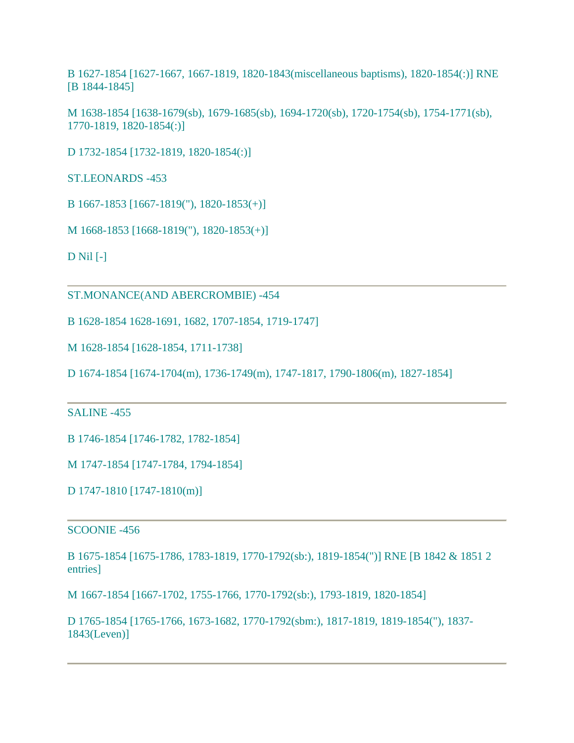B 1627-1854 [1627-1667, 1667-1819, 1820-1843(miscellaneous baptisms), 1820-1854(:)] RNE [B 1844-1845]

M 1638-1854 [1638-1679(sb), 1679-1685(sb), 1694-1720(sb), 1720-1754(sb), 1754-1771(sb), 1770-1819, 1820-1854(:)]

D 1732-1854 [1732-1819, 1820-1854(:)]

ST.LEONARDS -453

B 1667-1853 [1667-1819("), 1820-1853(+)]

M 1668-1853 [1668-1819("), 1820-1853(+)]

D Nil [-]

ST.MONANCE(AND ABERCROMBIE) -454

B 1628-1854 1628-1691, 1682, 1707-1854, 1719-1747]

M 1628-1854 [1628-1854, 1711-1738]

D 1674-1854 [1674-1704(m), 1736-1749(m), 1747-1817, 1790-1806(m), 1827-1854]

### SALINE -455

B 1746-1854 [1746-1782, 1782-1854]

M 1747-1854 [1747-1784, 1794-1854]

D 1747-1810 [1747-1810(m)]

#### SCOONIE -456

B 1675-1854 [1675-1786, 1783-1819, 1770-1792(sb:), 1819-1854(")] RNE [B 1842 & 1851 2 entries]

M 1667-1854 [1667-1702, 1755-1766, 1770-1792(sb:), 1793-1819, 1820-1854]

D 1765-1854 [1765-1766, 1673-1682, 1770-1792(sbm:), 1817-1819, 1819-1854("), 1837- 1843(Leven)]